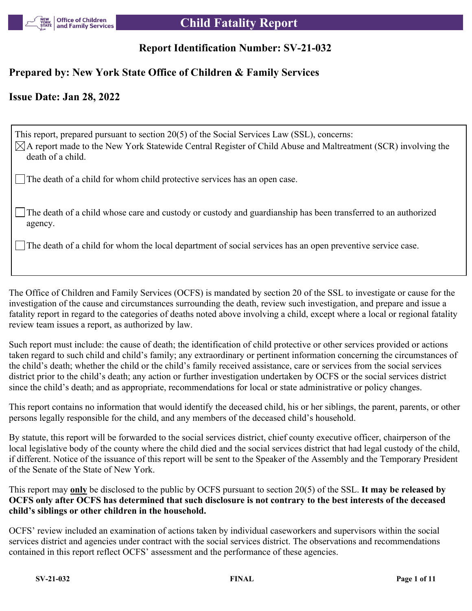

# **Report Identification Number: SV-21-032**

# **Prepared by: New York State Office of Children & Family Services**

# **Issue Date: Jan 28, 2022**

This report, prepared pursuant to section 20(5) of the Social Services Law (SSL), concerns:  $\boxtimes$ A report made to the New York Statewide Central Register of Child Abuse and Maltreatment (SCR) involving the death of a child. The death of a child for whom child protective services has an open case.

The death of a child whose care and custody or custody and guardianship has been transferred to an authorized agency.

The death of a child for whom the local department of social services has an open preventive service case.

The Office of Children and Family Services (OCFS) is mandated by section 20 of the SSL to investigate or cause for the investigation of the cause and circumstances surrounding the death, review such investigation, and prepare and issue a fatality report in regard to the categories of deaths noted above involving a child, except where a local or regional fatality review team issues a report, as authorized by law.

Such report must include: the cause of death; the identification of child protective or other services provided or actions taken regard to such child and child's family; any extraordinary or pertinent information concerning the circumstances of the child's death; whether the child or the child's family received assistance, care or services from the social services district prior to the child's death; any action or further investigation undertaken by OCFS or the social services district since the child's death; and as appropriate, recommendations for local or state administrative or policy changes.

This report contains no information that would identify the deceased child, his or her siblings, the parent, parents, or other persons legally responsible for the child, and any members of the deceased child's household.

By statute, this report will be forwarded to the social services district, chief county executive officer, chairperson of the local legislative body of the county where the child died and the social services district that had legal custody of the child, if different. Notice of the issuance of this report will be sent to the Speaker of the Assembly and the Temporary President of the Senate of the State of New York.

This report may **only** be disclosed to the public by OCFS pursuant to section 20(5) of the SSL. **It may be released by OCFS only after OCFS has determined that such disclosure is not contrary to the best interests of the deceased child's siblings or other children in the household.**

OCFS' review included an examination of actions taken by individual caseworkers and supervisors within the social services district and agencies under contract with the social services district. The observations and recommendations contained in this report reflect OCFS' assessment and the performance of these agencies.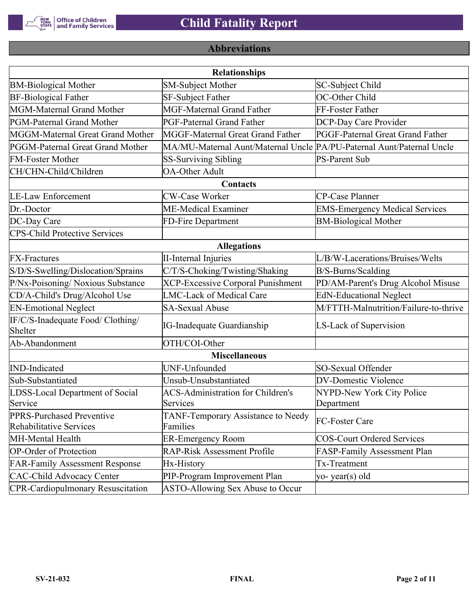

# **Abbreviations**

|                                                             | <b>Relationships</b>                                                  |                                       |
|-------------------------------------------------------------|-----------------------------------------------------------------------|---------------------------------------|
| <b>BM-Biological Mother</b>                                 | <b>SM-Subject Mother</b>                                              | SC-Subject Child                      |
| <b>BF-Biological Father</b>                                 | SF-Subject Father                                                     | OC-Other Child                        |
| MGM-Maternal Grand Mother                                   | <b>MGF-Maternal Grand Father</b>                                      | FF-Foster Father                      |
| PGM-Paternal Grand Mother                                   | PGF-Paternal Grand Father                                             | DCP-Day Care Provider                 |
| MGGM-Maternal Great Grand Mother                            | MGGF-Maternal Great Grand Father                                      | PGGF-Paternal Great Grand Father      |
| PGGM-Paternal Great Grand Mother                            | MA/MU-Maternal Aunt/Maternal Uncle PA/PU-Paternal Aunt/Paternal Uncle |                                       |
| <b>FM-Foster Mother</b>                                     | <b>SS-Surviving Sibling</b>                                           | <b>PS-Parent Sub</b>                  |
| CH/CHN-Child/Children                                       | <b>OA-Other Adult</b>                                                 |                                       |
|                                                             | Contacts                                                              |                                       |
| <b>LE-Law Enforcement</b>                                   | <b>CW-Case Worker</b>                                                 | CP-Case Planner                       |
| Dr.-Doctor                                                  | ME-Medical Examiner                                                   | <b>EMS-Emergency Medical Services</b> |
| DC-Day Care                                                 | <b>BM-Biological Mother</b>                                           |                                       |
| <b>CPS-Child Protective Services</b>                        |                                                                       |                                       |
|                                                             | <b>Allegations</b>                                                    |                                       |
| <b>FX-Fractures</b>                                         | <b>II-Internal Injuries</b>                                           | L/B/W-Lacerations/Bruises/Welts       |
| S/D/S-Swelling/Dislocation/Sprains                          | C/T/S-Choking/Twisting/Shaking                                        | B/S-Burns/Scalding                    |
| P/Nx-Poisoning/ Noxious Substance                           | <b>XCP-Excessive Corporal Punishment</b>                              | PD/AM-Parent's Drug Alcohol Misuse    |
| CD/A-Child's Drug/Alcohol Use                               | <b>LMC-Lack of Medical Care</b>                                       | <b>EdN-Educational Neglect</b>        |
| <b>EN-Emotional Neglect</b>                                 | <b>SA-Sexual Abuse</b>                                                | M/FTTH-Malnutrition/Failure-to-thrive |
| IF/C/S-Inadequate Food/ Clothing/<br>Shelter                | <b>IG-Inadequate Guardianship</b>                                     | LS-Lack of Supervision                |
| Ab-Abandonment                                              | OTH/COI-Other                                                         |                                       |
|                                                             | <b>Miscellaneous</b>                                                  |                                       |
| <b>IND-Indicated</b>                                        | UNF-Unfounded                                                         | SO-Sexual Offender                    |
| Sub-Substantiated                                           | Unsub-Unsubstantiated                                                 | <b>DV-Domestic Violence</b>           |
| LDSS-Local Department of Social                             | <b>ACS-Administration for Children's</b>                              | NYPD-New York City Police             |
| Service                                                     | Services                                                              | Department                            |
| PPRS-Purchased Preventive<br><b>Rehabilitative Services</b> | TANF-Temporary Assistance to Needy<br>Families                        | FC-Foster Care                        |
| MH-Mental Health                                            | <b>ER-Emergency Room</b>                                              | <b>COS-Court Ordered Services</b>     |
| <b>OP-Order of Protection</b>                               | <b>RAP-Risk Assessment Profile</b>                                    | FASP-Family Assessment Plan           |
| <b>FAR-Family Assessment Response</b>                       | Hx-History                                                            | Tx-Treatment                          |
| <b>CAC-Child Advocacy Center</b>                            | PIP-Program Improvement Plan                                          | yo-year(s) old                        |
| <b>CPR-Cardiopulmonary Resuscitation</b>                    | ASTO-Allowing Sex Abuse to Occur                                      |                                       |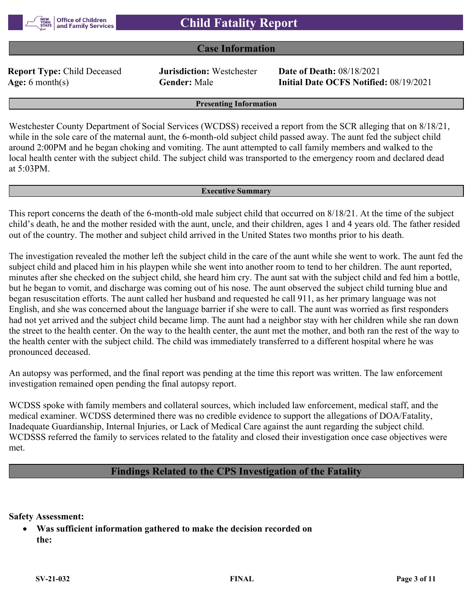

### **Case Information**

**Report Type:** Child Deceased **Jurisdiction:** Westchester **Date of Death:** 08/18/2021

**Age:** 6 month(s) **Gender:** Male **Initial Date OCFS Notified:** 08/19/2021

#### **Presenting Information**

Westchester County Department of Social Services (WCDSS) received a report from the SCR alleging that on 8/18/21, while in the sole care of the maternal aunt, the 6-month-old subject child passed away. The aunt fed the subject child around 2:00PM and he began choking and vomiting. The aunt attempted to call family members and walked to the local health center with the subject child. The subject child was transported to the emergency room and declared dead at 5:03PM.

#### **Executive Summary**

This report concerns the death of the 6-month-old male subject child that occurred on 8/18/21. At the time of the subject child's death, he and the mother resided with the aunt, uncle, and their children, ages 1 and 4 years old. The father resided out of the country. The mother and subject child arrived in the United States two months prior to his death.

The investigation revealed the mother left the subject child in the care of the aunt while she went to work. The aunt fed the subject child and placed him in his playpen while she went into another room to tend to her children. The aunt reported, minutes after she checked on the subject child, she heard him cry. The aunt sat with the subject child and fed him a bottle, but he began to vomit, and discharge was coming out of his nose. The aunt observed the subject child turning blue and began resuscitation efforts. The aunt called her husband and requested he call 911, as her primary language was not English, and she was concerned about the language barrier if she were to call. The aunt was worried as first responders had not yet arrived and the subject child became limp. The aunt had a neighbor stay with her children while she ran down the street to the health center. On the way to the health center, the aunt met the mother, and both ran the rest of the way to the health center with the subject child. The child was immediately transferred to a different hospital where he was pronounced deceased.

An autopsy was performed, and the final report was pending at the time this report was written. The law enforcement investigation remained open pending the final autopsy report.

WCDSS spoke with family members and collateral sources, which included law enforcement, medical staff, and the medical examiner. WCDSS determined there was no credible evidence to support the allegations of DOA/Fatality, Inadequate Guardianship, Internal Injuries, or Lack of Medical Care against the aunt regarding the subject child. WCDSSS referred the family to services related to the fatality and closed their investigation once case objectives were met.

#### **Findings Related to the CPS Investigation of the Fatality**

**Safety Assessment:**

 **Was sufficient information gathered to make the decision recorded on the:**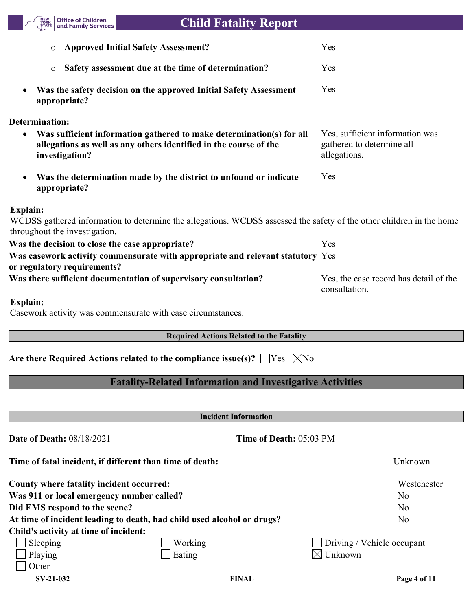

| <b>Approved Initial Safety Assessment?</b><br>O                                                                                                                          | Yes                                                                          |
|--------------------------------------------------------------------------------------------------------------------------------------------------------------------------|------------------------------------------------------------------------------|
| Safety assessment due at the time of determination?<br>$\circ$                                                                                                           | Yes                                                                          |
| Was the safety decision on the approved Initial Safety Assessment<br>appropriate?                                                                                        | Yes                                                                          |
| <b>Determination:</b>                                                                                                                                                    |                                                                              |
| Was sufficient information gathered to make determination(s) for all<br>allegations as well as any others identified in the course of the<br>investigation?              | Yes, sufficient information was<br>gathered to determine all<br>allegations. |
| Was the determination made by the district to unfound or indicate<br>appropriate?                                                                                        | Yes                                                                          |
| <b>Explain:</b><br>WCDSS gathered information to determine the allegations. WCDSS assessed the safety of the other children in the home<br>throughout the investigation. |                                                                              |
| Was the decision to close the case appropriate?                                                                                                                          | Yes                                                                          |
| Was casework activity commensurate with appropriate and relevant statutory Yes<br>or regulatory requirements?                                                            |                                                                              |
| Was there sufficient documentation of supervisory consultation?                                                                                                          | Yes, the case record has detail of the<br>consultation.                      |
| <b>Explain:</b><br>Casework activity was commensurate with case circumstances.                                                                                           |                                                                              |
| <b>Required Actions Related to the Fatality</b>                                                                                                                          |                                                                              |
| Are there Required Actions related to the compliance issue(s)? $\Box$ Yes<br>$\boxtimes$ No                                                                              |                                                                              |
| <b>Fatality-Related Information and Investigative Activities</b>                                                                                                         |                                                                              |
|                                                                                                                                                                          |                                                                              |
| <b>Incident Information</b>                                                                                                                                              |                                                                              |
| <b>Date of Death: 08/18/2021</b><br>Time of Death: 05:03 PM                                                                                                              |                                                                              |
| Time of fatal incident, if different than time of death:                                                                                                                 | Unknown                                                                      |

| County where fatality incident occurred:  |                                                                        | Westchester                       |
|-------------------------------------------|------------------------------------------------------------------------|-----------------------------------|
| Was 911 or local emergency number called? |                                                                        | No.                               |
| Did EMS respond to the scene?             |                                                                        | N <sub>o</sub>                    |
|                                           | At time of incident leading to death, had child used alcohol or drugs? | N <sub>o</sub>                    |
| Child's activity at time of incident:     |                                                                        |                                   |
| Sleeping                                  | Working                                                                | $\Box$ Driving / Vehicle occupant |
| Playing                                   | Eating                                                                 | $\boxtimes$ Unknown               |
| Other                                     |                                                                        |                                   |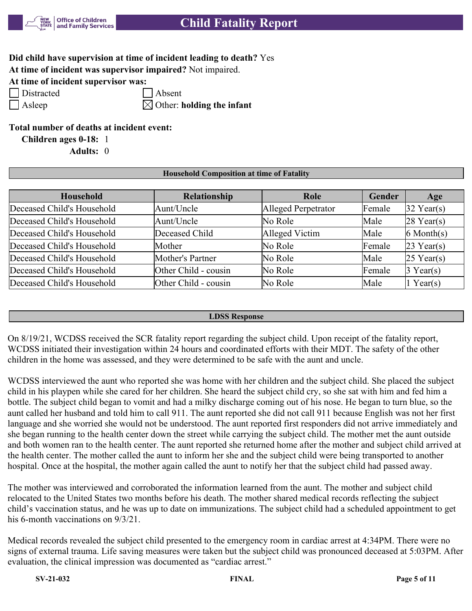

# **Did child have supervision at time of incident leading to death?** Yes

**At time of incident was supervisor impaired?** Not impaired.

**At time of incident supervisor was:**

Distracted Absent

Asleep  $\boxtimes$  Other: **holding the infant** 

### **Total number of deaths at incident event:**

**Children ages 0-18:** 1

**Adults:** 0

#### **Household Composition at time of Fatality**

| <b>Household</b>           | Relationship         | Role                | Gender | Age             |
|----------------------------|----------------------|---------------------|--------|-----------------|
| Deceased Child's Household | Aunt/Uncle           | Alleged Perpetrator | Female | $32$ Year(s)    |
| Deceased Child's Household | Aunt/Uncle           | No Role             | Male   | $28$ Year(s)    |
| Deceased Child's Household | Deceased Child       | Alleged Victim      | Male   | $6$ Month $(s)$ |
| Deceased Child's Household | Mother               | No Role             | Female | $23$ Year(s)    |
| Deceased Child's Household | Mother's Partner     | No Role             | Male   | $25$ Year(s)    |
| Deceased Child's Household | Other Child - cousin | No Role             | Female | $3$ Year(s)     |
| Deceased Child's Household | Other Child - cousin | No Role             | Male   | 1 Year(s)       |

#### **LDSS Response**

On 8/19/21, WCDSS received the SCR fatality report regarding the subject child. Upon receipt of the fatality report, WCDSS initiated their investigation within 24 hours and coordinated efforts with their MDT. The safety of the other children in the home was assessed, and they were determined to be safe with the aunt and uncle.

WCDSS interviewed the aunt who reported she was home with her children and the subject child. She placed the subject child in his playpen while she cared for her children. She heard the subject child cry, so she sat with him and fed him a bottle. The subject child began to vomit and had a milky discharge coming out of his nose. He began to turn blue, so the aunt called her husband and told him to call 911. The aunt reported she did not call 911 because English was not her first language and she worried she would not be understood. The aunt reported first responders did not arrive immediately and she began running to the health center down the street while carrying the subject child. The mother met the aunt outside and both women ran to the health center. The aunt reported she returned home after the mother and subject child arrived at the health center. The mother called the aunt to inform her she and the subject child were being transported to another hospital. Once at the hospital, the mother again called the aunt to notify her that the subject child had passed away.

The mother was interviewed and corroborated the information learned from the aunt. The mother and subject child relocated to the United States two months before his death. The mother shared medical records reflecting the subject child's vaccination status, and he was up to date on immunizations. The subject child had a scheduled appointment to get his 6-month vaccinations on 9/3/21.

Medical records revealed the subject child presented to the emergency room in cardiac arrest at 4:34PM. There were no signs of external trauma. Life saving measures were taken but the subject child was pronounced deceased at 5:03PM. After evaluation, the clinical impression was documented as "cardiac arrest."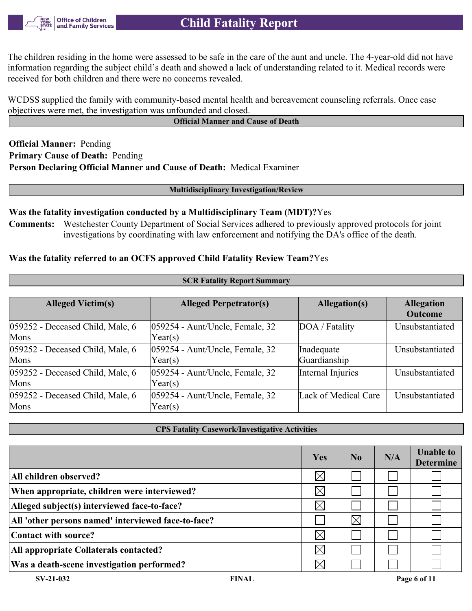The children residing in the home were assessed to be safe in the care of the aunt and uncle. The 4-year-old did not have information regarding the subject child's death and showed a lack of understanding related to it. Medical records were received for both children and there were no concerns revealed.

WCDSS supplied the family with community-based mental health and bereavement counseling referrals. Once case objectives were met, the investigation was unfounded and closed.

#### **Official Manner and Cause of Death**

**Official Manner:** Pending **Primary Cause of Death:** Pending **Person Declaring Official Manner and Cause of Death:** Medical Examiner

**Multidisciplinary Investigation/Review**

#### **Was the fatality investigation conducted by a Multidisciplinary Team (MDT)?**Yes

**Comments:** Westchester County Department of Social Services adhered to previously approved protocols for joint investigations by coordinating with law enforcement and notifying the DA's office of the death.

**SCR Fatality Report Sum** 

### **Was the fatality referred to an OCFS approved Child Fatality Review Team?**Yes

| $5CM$ ratality Kepol e Summary           |                                                              |                            |                                     |  |  |  |  |  |
|------------------------------------------|--------------------------------------------------------------|----------------------------|-------------------------------------|--|--|--|--|--|
|                                          |                                                              |                            |                                     |  |  |  |  |  |
| <b>Alleged Victim(s)</b>                 | <b>Alleged Perpetrator(s)</b>                                | Allegation(s)              | <b>Allegation</b><br><b>Outcome</b> |  |  |  |  |  |
| 059252 - Deceased Child, Male, 6<br>Mons | 059254 - Aunt/Uncle, Female, 32<br>Year(s)                   | DOA / Fatality             | Unsubstantiated                     |  |  |  |  |  |
| 059252 - Deceased Child, Male, 6<br>Mons | $ 059254 - \text{Aunt/Uncle},$ Female, 32<br>Year(s)         | Inadequate<br>Guardianship | Unsubstantiated                     |  |  |  |  |  |
| 059252 - Deceased Child, Male, 6<br>Mons | 059254 - Aunt/Uncle, Female, 32<br>Year(s)                   | Internal Injuries          | Unsubstantiated                     |  |  |  |  |  |
| 059252 - Deceased Child, Male, 6<br>Mons | $ 059254 - \text{Aunt/Uncle}, \text{Female}, 32 $<br>Year(s) | Lack of Medical Care       | Unsubstantiated                     |  |  |  |  |  |

**CPS Fatality Casework/Investigative Activities**

|                                                     | Yes         | No.      | N/A | <b>Unable to</b><br><b>Determine</b> |
|-----------------------------------------------------|-------------|----------|-----|--------------------------------------|
| All children observed?                              | $\times$    |          |     |                                      |
| When appropriate, children were interviewed?        | $\times$    |          |     |                                      |
| Alleged subject(s) interviewed face-to-face?        | $\boxtimes$ |          |     |                                      |
| All 'other persons named' interviewed face-to-face? |             | $\times$ |     |                                      |
| Contact with source?                                | $\times$    |          |     |                                      |
| All appropriate Collaterals contacted?              | $\boxtimes$ |          |     |                                      |
| Was a death-scene investigation performed?          | $\times$    |          |     |                                      |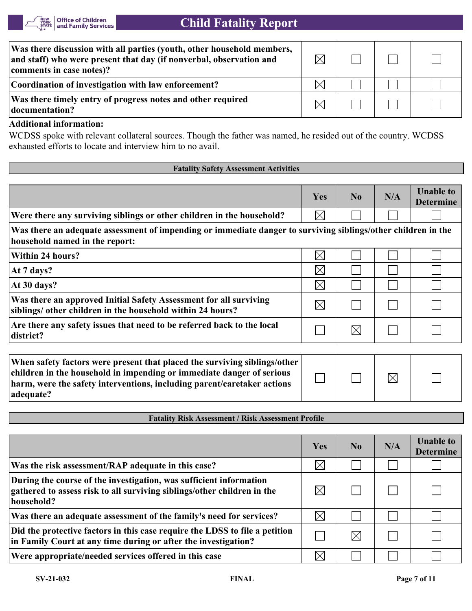

| Was there discussion with all parties (youth, other household members,<br>and staff) who were present that day (if nonverbal, observation and<br>comments in case notes)? | $\bowtie$ |  |  |
|---------------------------------------------------------------------------------------------------------------------------------------------------------------------------|-----------|--|--|
| Coordination of investigation with law enforcement?                                                                                                                       |           |  |  |
| Was there timely entry of progress notes and other required<br>documentation?                                                                                             | IX        |  |  |

# **Additional information:**

WCDSS spoke with relevant collateral sources. Though the father was named, he resided out of the country. WCDSS exhausted efforts to locate and interview him to no avail.

#### **Fatality Safety Assessment Activities**

|                                                                                                                                                                                                                                            | Yes         | No          | N/A       | <b>Unable to</b><br><b>Determine</b> |
|--------------------------------------------------------------------------------------------------------------------------------------------------------------------------------------------------------------------------------------------|-------------|-------------|-----------|--------------------------------------|
| Were there any surviving siblings or other children in the household?                                                                                                                                                                      | $\boxtimes$ |             |           |                                      |
| Was there an adequate assessment of impending or immediate danger to surviving siblings/other children in the<br>household named in the report:                                                                                            |             |             |           |                                      |
| Within 24 hours?                                                                                                                                                                                                                           | $\boxtimes$ |             |           |                                      |
| At 7 days?                                                                                                                                                                                                                                 | $\boxtimes$ |             |           |                                      |
| At 30 days?                                                                                                                                                                                                                                | $\boxtimes$ |             |           |                                      |
| Was there an approved Initial Safety Assessment for all surviving<br>siblings/ other children in the household within 24 hours?                                                                                                            | $\boxtimes$ |             |           |                                      |
| Are there any safety issues that need to be referred back to the local<br>district?                                                                                                                                                        |             | $\boxtimes$ |           |                                      |
|                                                                                                                                                                                                                                            |             |             |           |                                      |
| When safety factors were present that placed the surviving siblings/other<br>children in the household in impending or immediate danger of serious<br>harm, were the safety interventions, including parent/caretaker actions<br>adequate? |             |             | $\bowtie$ |                                      |

**Fatality Risk Assessment / Risk Assessment Profile**

|                                                                                                                                                             | Yes      | N <sub>0</sub> | N/A | <b>Unable to</b><br><b>Determine</b> |
|-------------------------------------------------------------------------------------------------------------------------------------------------------------|----------|----------------|-----|--------------------------------------|
| Was the risk assessment/RAP adequate in this case?                                                                                                          | $\times$ |                |     |                                      |
| During the course of the investigation, was sufficient information<br>gathered to assess risk to all surviving siblings/other children in the<br>household? | $\times$ |                |     |                                      |
| Was there an adequate assessment of the family's need for services?                                                                                         | $\times$ |                |     |                                      |
| Did the protective factors in this case require the LDSS to file a petition<br>in Family Court at any time during or after the investigation?               |          |                |     |                                      |
| Were appropriate/needed services offered in this case                                                                                                       | $\times$ |                |     |                                      |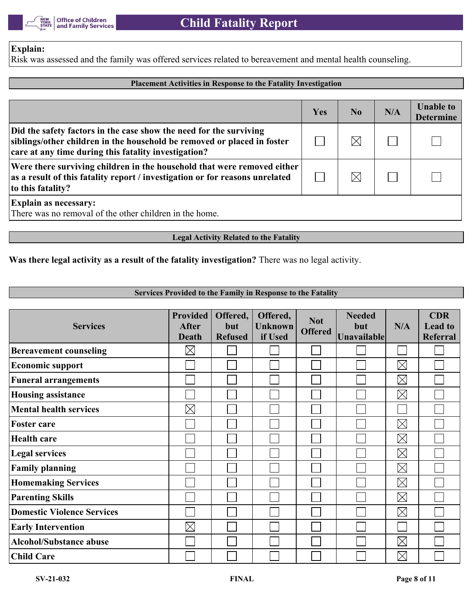

### **Explain:**

Risk was assessed and the family was offered services related to bereavement and mental health counseling.

#### **Placement Activities in Response to the Fatality Investigation**

|                                                                                                                                                                                                       | Yes | N <sub>0</sub> | N/A | <b>Unable to</b><br><b>Determine</b> |
|-------------------------------------------------------------------------------------------------------------------------------------------------------------------------------------------------------|-----|----------------|-----|--------------------------------------|
| Did the safety factors in the case show the need for the surviving<br>siblings/other children in the household be removed or placed in foster<br>care at any time during this fatality investigation? |     | $\bowtie$      |     |                                      |
| Were there surviving children in the household that were removed either<br>as a result of this fatality report / investigation or for reasons unrelated<br>to this fatality?                          |     | $\boxtimes$    |     |                                      |
| <b>Explain as necessary:</b><br>There was no removal of the other children in the home.                                                                                                               |     |                |     |                                      |

### **Legal Activity Related to the Fatality**

### **Was there legal activity as a result of the fatality investigation?** There was no legal activity.

#### **Services Provided to the Family in Response to the Fatality**

| <b>Services</b>                   | <b>Provided</b><br><b>After</b><br><b>Death</b> | Offered,<br>but<br><b>Refused</b> | Offered,<br><b>Unknown</b><br>if Used | <b>Not</b><br><b>Offered</b> | <b>Needed</b><br>but<br>Unavailable | N/A         | <b>CDR</b><br><b>Lead to</b><br>Referral |
|-----------------------------------|-------------------------------------------------|-----------------------------------|---------------------------------------|------------------------------|-------------------------------------|-------------|------------------------------------------|
| <b>Bereavement counseling</b>     | $\boxtimes$                                     |                                   |                                       |                              |                                     |             |                                          |
| <b>Economic support</b>           |                                                 |                                   |                                       |                              |                                     | $\boxtimes$ |                                          |
| <b>Funeral arrangements</b>       |                                                 |                                   |                                       |                              |                                     | $\boxtimes$ |                                          |
| <b>Housing assistance</b>         |                                                 |                                   |                                       |                              |                                     | $\boxtimes$ |                                          |
| <b>Mental health services</b>     | $\boxtimes$                                     |                                   |                                       |                              |                                     |             |                                          |
| <b>Foster care</b>                |                                                 |                                   |                                       |                              |                                     | $\boxtimes$ |                                          |
| <b>Health care</b>                |                                                 |                                   |                                       |                              |                                     | $\boxtimes$ |                                          |
| <b>Legal services</b>             |                                                 |                                   |                                       |                              |                                     | $\boxtimes$ |                                          |
| <b>Family planning</b>            |                                                 |                                   |                                       |                              |                                     | $\boxtimes$ |                                          |
| <b>Homemaking Services</b>        |                                                 |                                   |                                       |                              |                                     | $\boxtimes$ |                                          |
| <b>Parenting Skills</b>           |                                                 |                                   |                                       |                              |                                     | $\boxtimes$ |                                          |
| <b>Domestic Violence Services</b> |                                                 |                                   |                                       |                              |                                     | $\boxtimes$ |                                          |
| <b>Early Intervention</b>         | $\boxtimes$                                     |                                   |                                       |                              |                                     |             |                                          |
| <b>Alcohol/Substance abuse</b>    |                                                 |                                   |                                       |                              |                                     | $\boxtimes$ |                                          |
| <b>Child Care</b>                 |                                                 |                                   |                                       |                              |                                     | $\boxtimes$ |                                          |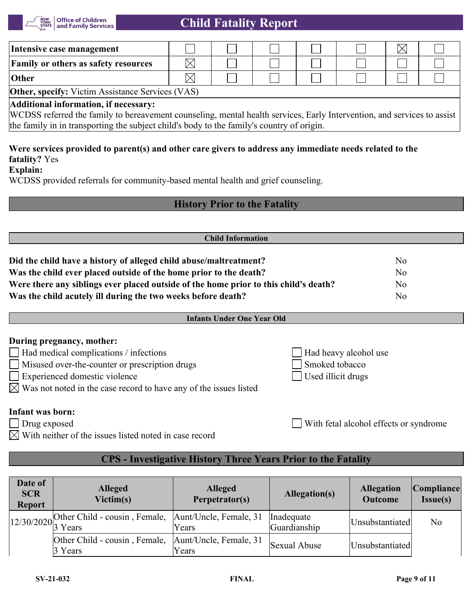

| Intensive case management                                                                                                                                                                                                                                     |  |  |  |  |  |  |  |
|---------------------------------------------------------------------------------------------------------------------------------------------------------------------------------------------------------------------------------------------------------------|--|--|--|--|--|--|--|
| <b>Family or others as safety resources</b>                                                                                                                                                                                                                   |  |  |  |  |  |  |  |
| <b>Other</b>                                                                                                                                                                                                                                                  |  |  |  |  |  |  |  |
| <b>Other, specify:</b> Victim Assistance Services (VAS)                                                                                                                                                                                                       |  |  |  |  |  |  |  |
| Additional information, if necessary:<br>WCDSS referred the family to bereavement counseling, mental health services, Early Intervention, and services to assist<br>the family in in transporting the subject child's body to the family's country of origin. |  |  |  |  |  |  |  |

# **Were services provided to parent(s) and other care givers to address any immediate needs related to the fatality?** Yes

**Explain:**

WCDSS provided referrals for community-based mental health and grief counseling.

# **History Prior to the Fatality**

| <b>Child Information</b>                                                             |                |  |  |  |
|--------------------------------------------------------------------------------------|----------------|--|--|--|
| Did the child have a history of alleged child abuse/maltreatment?                    | N <sub>0</sub> |  |  |  |
| Was the child ever placed outside of the home prior to the death?                    | No             |  |  |  |
| Were there any siblings ever placed outside of the home prior to this child's death? | No             |  |  |  |
| Was the child acutely ill during the two weeks before death?                         | N <sub>o</sub> |  |  |  |

#### **Infants Under One Year Old**

#### **During pregnancy, mother:**

| $\Box$ Had medical complications / infections         | $\Box$ Had heavy alcohol use |
|-------------------------------------------------------|------------------------------|
| $\Box$ Misused over-the-counter or prescription drugs | Smoked tobacco               |

Experienced domestic violence Used illicit drugs

 $\boxtimes$  Was not noted in the case record to have any of the issues listed

# **Infant was born:**

 $Drug exposed$   $\lbrack$ 

| With fetal alcohol effects or syndrome |  |
|----------------------------------------|--|
|----------------------------------------|--|

 $\boxtimes$  With neither of the issues listed noted in case record

# **CPS - Investigative History Three Years Prior to the Fatality**

| Date of<br><b>SCR</b><br><b>Report</b> | <b>Alleged</b><br>Victim(s)                                                                    | <b>Alleged</b><br>Perpetrator(s) | Allegation(s)              | <b>Allegation</b><br><b>Outcome</b> | Compliance<br><b>Issue(s)</b> |
|----------------------------------------|------------------------------------------------------------------------------------------------|----------------------------------|----------------------------|-------------------------------------|-------------------------------|
|                                        | $\vert 12/30/2020 \vert$ Other Child - cousin, Female, $\vert$ Aunt/Uncle, Female, 31<br>Years |                                  | Inadequate<br>Guardianship | Unsubstantiated                     | No                            |
|                                        | Other Child - cousin, Female, Aunt/Uncle, Female, 31<br>3 Years                                | Years                            | Sexual Abuse               | Unsubstantiated                     |                               |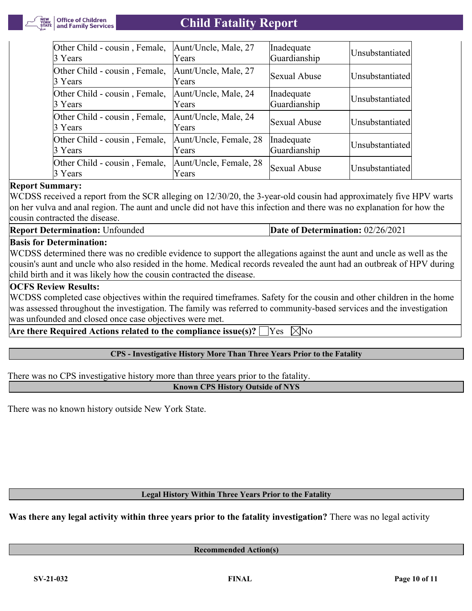

| Other Child - cousin, Female,            | Aunt/Uncle, Male, 27            | Inadequate   | Unsubstantiated |
|------------------------------------------|---------------------------------|--------------|-----------------|
| 3 Years                                  | Years                           | Guardianship |                 |
| Other Child - cousin, Female,<br>3 Years | Aunt/Uncle, Male, 27<br>Years   | Sexual Abuse | Unsubstantiated |
| Other Child - cousin, Female,            | Aunt/Uncle, Male, 24            | Inadequate   | Unsubstantiated |
| 3 Years                                  | Years                           | Guardianship |                 |
| Other Child - cousin, Female,<br>3 Years | Aunt/Uncle, Male, 24<br>Years   | Sexual Abuse | Unsubstantiated |
| Other Child - cousin, Female,            | Aunt/Uncle, Female, 28          | Inadequate   | Unsubstantiated |
| 3 Years                                  | Years                           | Guardianship |                 |
| Other Child - cousin, Female,<br>3 Years | Aunt/Uncle, Female, 28<br>Years | Sexual Abuse | Unsubstantiated |

#### **Report Summary:**

WCDSS received a report from the SCR alleging on 12/30/20, the 3-year-old cousin had approximately five HPV warts on her vulva and anal region. The aunt and uncle did not have this infection and there was no explanation for how the cousin contracted the disease.

**Report Determination:** Unfounded **Date of Determination:** 02/26/2021

#### **Basis for Determination:**

WCDSS determined there was no credible evidence to support the allegations against the aunt and uncle as well as the cousin's aunt and uncle who also resided in the home. Medical records revealed the aunt had an outbreak of HPV during child birth and it was likely how the cousin contracted the disease.

#### **OCFS Review Results:**

WCDSS completed case objectives within the required timeframes. Safety for the cousin and other children in the home was assessed throughout the investigation. The family was referred to community-based services and the investigation was unfounded and closed once case objectives were met.

**Are there Required Actions related to the compliance issue(s)?**  $\Box$  Yes  $\Box$  No

#### **CPS - Investigative History More Than Three Years Prior to the Fatality**

There was no CPS investigative history more than three years prior to the fatality.

**Known CPS History Outside of NYS**

There was no known history outside New York State.

#### **Legal History Within Three Years Prior to the Fatality**

**Was there any legal activity within three years prior to the fatality investigation?** There was no legal activity

**Recommended Action(s)**